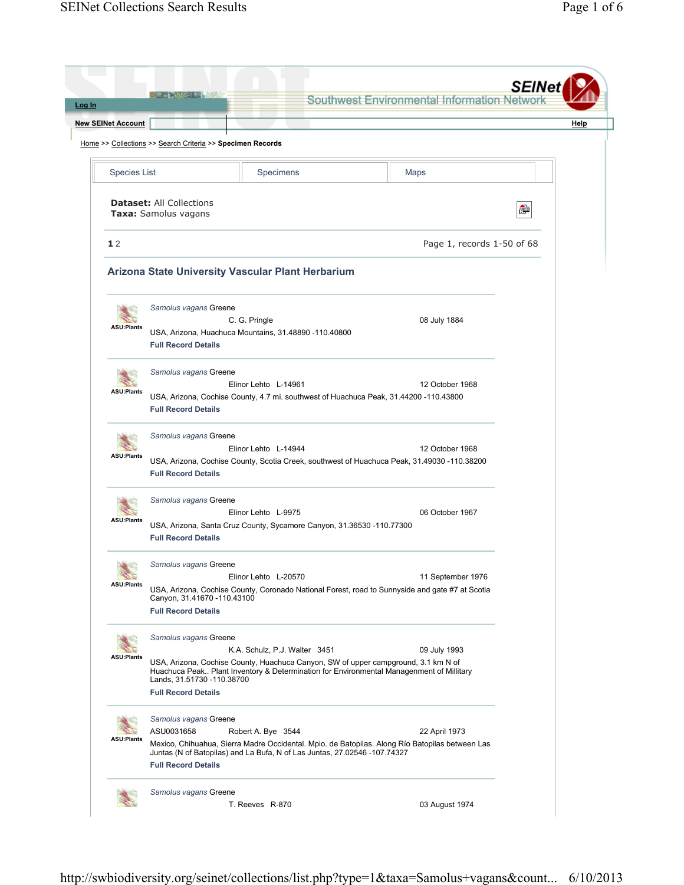|                                            | Les Pier III, 199                                                                  |                                                                                                                                                                                                                 | Southwest Environmental Information Networ | <b>SEINet</b> |
|--------------------------------------------|------------------------------------------------------------------------------------|-----------------------------------------------------------------------------------------------------------------------------------------------------------------------------------------------------------------|--------------------------------------------|---------------|
| <b>New SEINet Account</b>                  |                                                                                    |                                                                                                                                                                                                                 |                                            | Help          |
|                                            | Home >> Collections >> Search Criteria >> Specimen Records                         |                                                                                                                                                                                                                 |                                            |               |
|                                            |                                                                                    |                                                                                                                                                                                                                 |                                            |               |
| <b>Species List</b>                        |                                                                                    | Specimens                                                                                                                                                                                                       | Maps                                       |               |
|                                            | <b>Dataset: All Collections</b><br>Taxa: Samolus vagans                            |                                                                                                                                                                                                                 |                                            | ò             |
| 12                                         |                                                                                    |                                                                                                                                                                                                                 | Page 1, records 1-50 of 68                 |               |
|                                            |                                                                                    | Arizona State University Vascular Plant Herbarium                                                                                                                                                               |                                            |               |
| <b>ASU:Plants</b>                          | Samolus vagans Greene<br><b>Full Record Details</b>                                | C. G. Pringle<br>USA, Arizona, Huachuca Mountains, 31.48890 -110.40800                                                                                                                                          | 08 July 1884                               |               |
| <b>ASU:Plants</b>                          | Samolus vagans Greene<br><b>Full Record Details</b>                                | Elinor Lehto L-14961<br>USA, Arizona, Cochise County, 4.7 mi. southwest of Huachuca Peak, 31.44200 -110.43800                                                                                                   | 12 October 1968                            |               |
| <b>ASU:Plants</b>                          | Samolus vagans Greene<br><b>Full Record Details</b>                                | Elinor Lehto L-14944<br>USA, Arizona, Cochise County, Scotia Creek, southwest of Huachuca Peak, 31.49030 -110.38200                                                                                             | 12 October 1968                            |               |
| <b>ASU:Plants</b>                          | Samolus vagans Greene<br><b>Full Record Details</b>                                | Elinor Lehto L-9975<br>USA, Arizona, Santa Cruz County, Sycamore Canyon, 31.36530 -110.77300                                                                                                                    | 06 October 1967                            |               |
| <b>Production Pro</b><br><b>ASU:Plants</b> | Samolus vagans Greene<br>Canyon, 31.41670 -110.43100<br><b>Full Record Details</b> | Elinor Lehto L-20570<br>USA, Arizona, Cochise County, Coronado National Forest, road to Sunnyside and gate #7 at Scotia                                                                                         | 11 September 1976                          |               |
| <b>ASU:Plants</b>                          | Samolus vagans Greene<br>Lands, 31.51730 -110.38700<br><b>Full Record Details</b>  | K.A. Schulz, P.J. Walter 3451<br>USA, Arizona, Cochise County, Huachuca Canyon, SW of upper campground, 3.1 km N of<br>Huachuca Peak Plant Inventory & Determination for Environmental Managenment of Millitary | 09 July 1993                               |               |
| <b>ASU:Plants</b>                          | Samolus vagans Greene<br>ASU0031658<br><b>Full Record Details</b>                  | Robert A. Bye 3544<br>Mexico, Chihuahua, Sierra Madre Occidental. Mpio. de Batopilas. Along Río Batopilas between Las<br>Juntas (N of Batopilas) and La Bufa, N of Las Juntas, 27.02546 -107.74327              | 22 April 1973                              |               |
|                                            | Samolus vagans Greene                                                              |                                                                                                                                                                                                                 |                                            |               |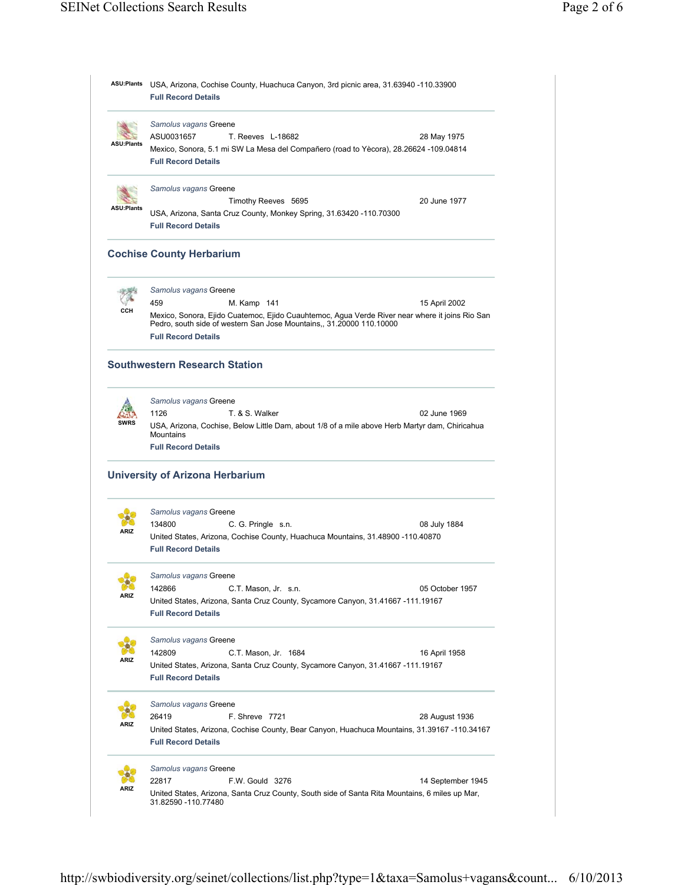| <b>ASU:Plants</b> | USA, Arizona, Cochise County, Huachuca Canyon, 3rd picnic area, 31.63940 -110.33900<br><b>Full Record Details</b>                                                                                    |                   |  |  |  |
|-------------------|------------------------------------------------------------------------------------------------------------------------------------------------------------------------------------------------------|-------------------|--|--|--|
|                   | Samolus vagans Greene                                                                                                                                                                                |                   |  |  |  |
| ASU:Plants        | ASU0031657<br>T. Reeves L-18682                                                                                                                                                                      | 28 May 1975       |  |  |  |
|                   | Mexico, Sonora, 5.1 mi SW La Mesa del Compañero (road to Yècora), 28.26624 -109.04814<br><b>Full Record Details</b>                                                                                  |                   |  |  |  |
|                   | Samolus vagans Greene                                                                                                                                                                                |                   |  |  |  |
| <b>ASU:Plants</b> | Timothy Reeves 5695                                                                                                                                                                                  | 20 June 1977      |  |  |  |
|                   | USA, Arizona, Santa Cruz County, Monkey Spring, 31.63420 -110.70300<br><b>Full Record Details</b>                                                                                                    |                   |  |  |  |
|                   | <b>Cochise County Herbarium</b>                                                                                                                                                                      |                   |  |  |  |
|                   | Samolus vagans Greene                                                                                                                                                                                |                   |  |  |  |
|                   | 459<br>M. Kamp 141                                                                                                                                                                                   | 15 April 2002     |  |  |  |
| ссн               | Mexico, Sonora, Ejido Cuatemoc, Ejido Cuauhtemoc, Agua Verde River near where it joins Rio San<br>Pedro, south side of western San Jose Mountains,, 31.20000 110.10000<br><b>Full Record Details</b> |                   |  |  |  |
|                   | <b>Southwestern Research Station</b>                                                                                                                                                                 |                   |  |  |  |
|                   | Samolus vagans Greene                                                                                                                                                                                |                   |  |  |  |
|                   | 1126<br>T. & S. Walker                                                                                                                                                                               | 02 June 1969      |  |  |  |
| SWRS              | USA, Arizona, Cochise, Below Little Dam, about 1/8 of a mile above Herb Martyr dam, Chiricahua<br><b>Mountains</b>                                                                                   |                   |  |  |  |
|                   | <b>Full Record Details</b>                                                                                                                                                                           |                   |  |  |  |
|                   | <b>University of Arizona Herbarium</b>                                                                                                                                                               |                   |  |  |  |
|                   | Samolus vagans Greene                                                                                                                                                                                |                   |  |  |  |
| ARIZ              | 134800<br>C. G. Pringle s.n.                                                                                                                                                                         | 08 July 1884      |  |  |  |
|                   | United States, Arizona, Cochise County, Huachuca Mountains, 31.48900 -110.40870<br><b>Full Record Details</b>                                                                                        |                   |  |  |  |
|                   | Samolus vagans Greene                                                                                                                                                                                |                   |  |  |  |
|                   | 142866<br>C.T. Mason, Jr. s.n.                                                                                                                                                                       | 05 October 1957   |  |  |  |
|                   | United States, Arizona, Santa Cruz County, Sycamore Canyon, 31.41667 -111.19167<br><b>Full Record Details</b>                                                                                        |                   |  |  |  |
|                   | Samolus vagans Greene                                                                                                                                                                                |                   |  |  |  |
|                   | 142809<br>C.T. Mason, Jr. 1684                                                                                                                                                                       | 16 April 1958     |  |  |  |
|                   | United States, Arizona, Santa Cruz County, Sycamore Canyon, 31.41667 -111.19167<br><b>Full Record Details</b>                                                                                        |                   |  |  |  |
|                   | Samolus vagans Greene                                                                                                                                                                                |                   |  |  |  |
| ARIZ              | 26419<br>F. Shreve 7721                                                                                                                                                                              | 28 August 1936    |  |  |  |
|                   | United States, Arizona, Cochise County, Bear Canyon, Huachuca Mountains, 31.39167 -110.34167<br><b>Full Record Details</b>                                                                           |                   |  |  |  |
|                   | Samolus vagans Greene                                                                                                                                                                                |                   |  |  |  |
|                   | 22817<br>F.W. Gould 3276                                                                                                                                                                             | 14 September 1945 |  |  |  |
| ARIZ              |                                                                                                                                                                                                      |                   |  |  |  |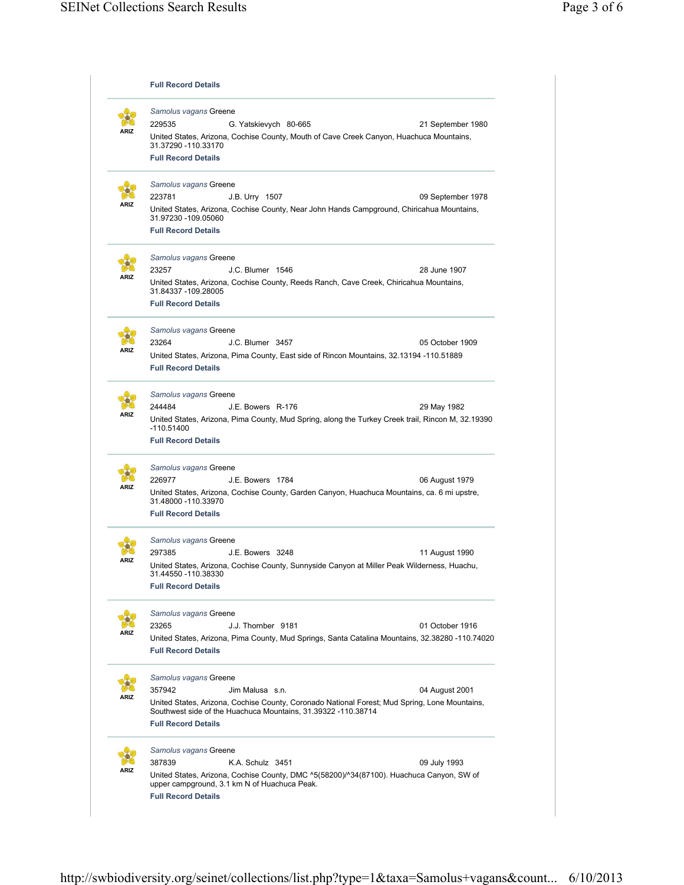|             | <b>Full Record Details</b>                                                                                                                                                                   |  |  |  |  |
|-------------|----------------------------------------------------------------------------------------------------------------------------------------------------------------------------------------------|--|--|--|--|
|             | Samolus vagans Greene                                                                                                                                                                        |  |  |  |  |
|             | 229535<br>G. Yatskievych 80-665<br>21 September 1980                                                                                                                                         |  |  |  |  |
| ARIZ        | United States, Arizona, Cochise County, Mouth of Cave Creek Canyon, Huachuca Mountains,<br>31.37290 - 110.33170                                                                              |  |  |  |  |
|             | <b>Full Record Details</b>                                                                                                                                                                   |  |  |  |  |
|             | Samolus vagans Greene                                                                                                                                                                        |  |  |  |  |
|             | 223781<br>J.B. Urry 1507<br>09 September 1978                                                                                                                                                |  |  |  |  |
|             | United States, Arizona, Cochise County, Near John Hands Campground, Chiricahua Mountains,<br>31.97230 -109.05060<br><b>Full Record Details</b>                                               |  |  |  |  |
|             |                                                                                                                                                                                              |  |  |  |  |
|             | Samolus vagans Greene                                                                                                                                                                        |  |  |  |  |
| ARIZ        | 23257<br>J.C. Blumer 1546<br>28 June 1907                                                                                                                                                    |  |  |  |  |
|             | United States, Arizona, Cochise County, Reeds Ranch, Cave Creek, Chiricahua Mountains,<br>31.84337 -109.28005<br><b>Full Record Details</b>                                                  |  |  |  |  |
|             |                                                                                                                                                                                              |  |  |  |  |
| ARIZ        | Samolus vagans Greene                                                                                                                                                                        |  |  |  |  |
|             | 23264<br>J.C. Blumer 3457<br>05 October 1909                                                                                                                                                 |  |  |  |  |
|             | United States, Arizona, Pima County, East side of Rincon Mountains, 32.13194 -110.51889<br><b>Full Record Details</b>                                                                        |  |  |  |  |
|             | Samolus vagans Greene                                                                                                                                                                        |  |  |  |  |
|             | 244484<br>J.E. Bowers R-176<br>29 May 1982                                                                                                                                                   |  |  |  |  |
| ARIZ        | United States, Arizona, Pima County, Mud Spring, along the Turkey Creek trail, Rincon M, 32.19390                                                                                            |  |  |  |  |
|             | -110.51400<br><b>Full Record Details</b>                                                                                                                                                     |  |  |  |  |
|             | Samolus vagans Greene                                                                                                                                                                        |  |  |  |  |
|             | 226977<br>J.E. Bowers 1784<br>06 August 1979                                                                                                                                                 |  |  |  |  |
| ARIZ        | United States, Arizona, Cochise County, Garden Canyon, Huachuca Mountains, ca. 6 mi upstre,<br>31.48000 - 110.33970                                                                          |  |  |  |  |
|             | <b>Full Record Details</b>                                                                                                                                                                   |  |  |  |  |
|             | Samolus vagans Greene                                                                                                                                                                        |  |  |  |  |
|             | 297385<br>J.E. Bowers 3248<br>11 August 1990                                                                                                                                                 |  |  |  |  |
| <b>\RIZ</b> | United States, Arizona, Cochise County, Sunnyside Canyon at Miller Peak Wilderness, Huachu,<br>31.44550 -110.38330                                                                           |  |  |  |  |
|             | <b>Full Record Details</b>                                                                                                                                                                   |  |  |  |  |
|             | Samolus vagans Greene                                                                                                                                                                        |  |  |  |  |
|             | 23265<br>J.J. Thornber 9181<br>01 October 1916                                                                                                                                               |  |  |  |  |
| ARIZ        | United States, Arizona, Pima County, Mud Springs, Santa Catalina Mountains, 32.38280 -110.74020                                                                                              |  |  |  |  |
|             | <b>Full Record Details</b>                                                                                                                                                                   |  |  |  |  |
|             | Samolus vagans Greene                                                                                                                                                                        |  |  |  |  |
|             | 357942<br>04 August 2001<br>Jim Malusa s.n.                                                                                                                                                  |  |  |  |  |
| ARIZ        | United States, Arizona, Cochise County, Coronado National Forest; Mud Spring, Lone Mountains,<br>Southwest side of the Huachuca Mountains, 31.39322 -110.38714<br><b>Full Record Details</b> |  |  |  |  |
|             |                                                                                                                                                                                              |  |  |  |  |
|             | Samolus vagans Greene                                                                                                                                                                        |  |  |  |  |
| ARIZ        | 387839<br>09 July 1993<br>K.A. Schulz 3451                                                                                                                                                   |  |  |  |  |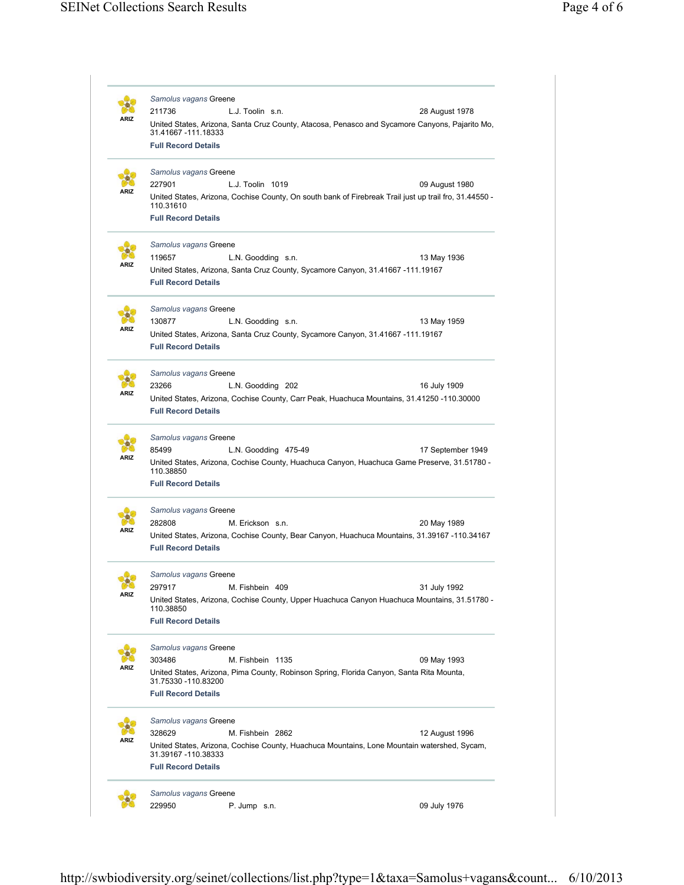|             | Samolus vagans Greene<br>211736<br>L.J. Toolin s.n. |                                                                                                        |                   |  |  |
|-------------|-----------------------------------------------------|--------------------------------------------------------------------------------------------------------|-------------------|--|--|
|             | 31.41667 -111.18333                                 | United States, Arizona, Santa Cruz County, Atacosa, Penasco and Sycamore Canyons, Pajarito Mo,         | 28 August 1978    |  |  |
|             | <b>Full Record Details</b>                          |                                                                                                        |                   |  |  |
|             | Samolus vagans Greene                               |                                                                                                        |                   |  |  |
|             | 227901                                              | L.J. Toolin 1019                                                                                       | 09 August 1980    |  |  |
|             | 110.31610                                           | United States, Arizona, Cochise County, On south bank of Firebreak Trail just up trail fro, 31.44550 - |                   |  |  |
|             | <b>Full Record Details</b>                          |                                                                                                        |                   |  |  |
|             | Samolus vagans Greene                               |                                                                                                        |                   |  |  |
|             | 119657                                              | L.N. Goodding s.n.                                                                                     | 13 May 1936       |  |  |
|             |                                                     | United States, Arizona, Santa Cruz County, Sycamore Canyon, 31.41667 -111.19167                        |                   |  |  |
|             | <b>Full Record Details</b>                          |                                                                                                        |                   |  |  |
|             | Samolus vagans Greene                               |                                                                                                        |                   |  |  |
|             | 130877                                              | L.N. Goodding s.n.                                                                                     | 13 May 1959       |  |  |
|             |                                                     | United States, Arizona, Santa Cruz County, Sycamore Canyon, 31.41667 -111.19167                        |                   |  |  |
|             | <b>Full Record Details</b>                          |                                                                                                        |                   |  |  |
| ARIZ        | Samolus vagans Greene                               |                                                                                                        |                   |  |  |
|             | 23266                                               | L.N. Goodding 202                                                                                      | 16 July 1909      |  |  |
|             |                                                     | United States, Arizona, Cochise County, Carr Peak, Huachuca Mountains, 31.41250 -110.30000             |                   |  |  |
|             | <b>Full Record Details</b>                          |                                                                                                        |                   |  |  |
|             | Samolus vagans Greene                               |                                                                                                        |                   |  |  |
| ARIZ        | 85499                                               | L.N. Goodding 475-49                                                                                   | 17 September 1949 |  |  |
|             | 110.38850                                           | United States, Arizona, Cochise County, Huachuca Canyon, Huachuca Game Preserve, 31.51780 -            |                   |  |  |
|             | <b>Full Record Details</b>                          |                                                                                                        |                   |  |  |
|             | Samolus vagans Greene                               |                                                                                                        |                   |  |  |
| <b>\RIZ</b> | 282808                                              | M. Erickson s.n.                                                                                       | 20 May 1989       |  |  |
|             |                                                     | United States, Arizona, Cochise County, Bear Canyon, Huachuca Mountains, 31.39167 -110.34167           |                   |  |  |
|             | <b>Full Record Details</b>                          |                                                                                                        |                   |  |  |
|             | Samolus vagans Greene                               |                                                                                                        |                   |  |  |
| ØO<br>ARIZ  | 297917                                              | M. Fishbein 409                                                                                        | 31 July 1992      |  |  |
|             | 110.38850                                           | United States, Arizona, Cochise County, Upper Huachuca Canyon Huachuca Mountains, 31.51780 -           |                   |  |  |
|             | <b>Full Record Details</b>                          |                                                                                                        |                   |  |  |
|             | Samolus vagans Greene                               |                                                                                                        |                   |  |  |
| ARIZ        | 303486                                              | M. Fishbein 1135                                                                                       | 09 May 1993       |  |  |
|             |                                                     | United States, Arizona, Pima County, Robinson Spring, Florida Canyon, Santa Rita Mounta,               |                   |  |  |
|             | 31.75330 -110.83200<br><b>Full Record Details</b>   |                                                                                                        |                   |  |  |
|             |                                                     |                                                                                                        |                   |  |  |
|             | Samolus vagans Greene                               |                                                                                                        |                   |  |  |
| ARIZ        | 328629                                              | M. Fishbein 2862                                                                                       | 12 August 1996    |  |  |
|             | 31.39167 -110.38333                                 | United States, Arizona, Cochise County, Huachuca Mountains, Lone Mountain watershed, Sycam,            |                   |  |  |
|             | <b>Full Record Details</b>                          |                                                                                                        |                   |  |  |
|             | Samolus vagans Greene                               |                                                                                                        |                   |  |  |
|             | 229950<br>P. Jump s.n.                              |                                                                                                        | 09 July 1976      |  |  |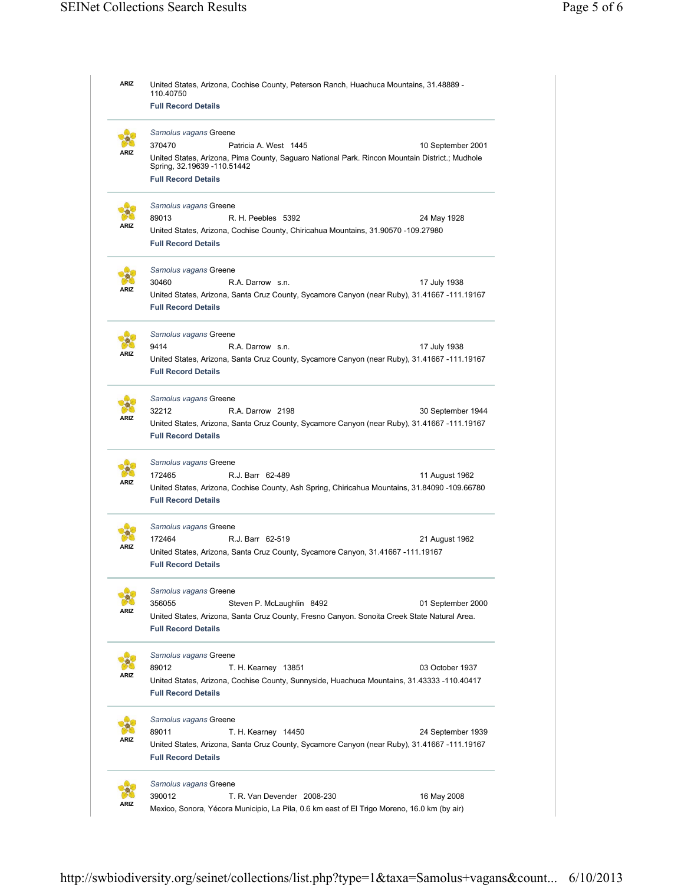| <b>ARIZ</b> | United States, Arizona, Cochise County, Peterson Ranch, Huachuca Mountains, 31.48889 -<br>110.40750             |  |  |  |  |
|-------------|-----------------------------------------------------------------------------------------------------------------|--|--|--|--|
|             | <b>Full Record Details</b>                                                                                      |  |  |  |  |
|             | Samolus vagans Greene                                                                                           |  |  |  |  |
|             | 370470<br>Patricia A. West 1445<br>10 September 2001                                                            |  |  |  |  |
|             | United States, Arizona, Pima County, Saguaro National Park. Rincon Mountain District.; Mudhole                  |  |  |  |  |
|             | Spring, 32.19639 -110.51442                                                                                     |  |  |  |  |
|             | <b>Full Record Details</b>                                                                                      |  |  |  |  |
|             | Samolus vagans Greene                                                                                           |  |  |  |  |
| ARIZ        | 89013<br>R. H. Peebles 5392<br>24 May 1928                                                                      |  |  |  |  |
|             | United States, Arizona, Cochise County, Chiricahua Mountains, 31.90570 -109.27980<br><b>Full Record Details</b> |  |  |  |  |
|             |                                                                                                                 |  |  |  |  |
|             | Samolus vagans Greene                                                                                           |  |  |  |  |
| ARIZ        | 30460<br>R.A. Darrow s.n.<br>17 July 1938                                                                       |  |  |  |  |
|             | United States, Arizona, Santa Cruz County, Sycamore Canyon (near Ruby), 31.41667 -111.19167                     |  |  |  |  |
|             | <b>Full Record Details</b>                                                                                      |  |  |  |  |
|             | Samolus vagans Greene                                                                                           |  |  |  |  |
|             | 9414<br>R.A. Darrow s.n.<br>17 July 1938                                                                        |  |  |  |  |
| ARIZ        | United States, Arizona, Santa Cruz County, Sycamore Canyon (near Ruby), 31.41667 -111.19167                     |  |  |  |  |
|             | <b>Full Record Details</b>                                                                                      |  |  |  |  |
|             | Samolus vagans Greene                                                                                           |  |  |  |  |
|             | 32212<br>R.A. Darrow 2198<br>30 September 1944                                                                  |  |  |  |  |
| ARIZ        | United States, Arizona, Santa Cruz County, Sycamore Canyon (near Ruby), 31.41667 -111.19167                     |  |  |  |  |
|             | <b>Full Record Details</b>                                                                                      |  |  |  |  |
|             | Samolus vagans Greene                                                                                           |  |  |  |  |
|             | 172465<br>R.J. Barr 62-489<br>11 August 1962                                                                    |  |  |  |  |
| ARIZ        | United States, Arizona, Cochise County, Ash Spring, Chiricahua Mountains, 31.84090 -109.66780                   |  |  |  |  |
|             | <b>Full Record Details</b>                                                                                      |  |  |  |  |
|             | Samolus vagans Greene                                                                                           |  |  |  |  |
|             | 172464<br>R.J. Barr 62-519<br>21 August 1962                                                                    |  |  |  |  |
| ARIZ        | United States, Arizona, Santa Cruz County, Sycamore Canyon, 31.41667 -111.19167                                 |  |  |  |  |
|             | <b>Full Record Details</b>                                                                                      |  |  |  |  |
|             | Samolus vagans Greene                                                                                           |  |  |  |  |
|             | 356055<br>Steven P. McLaughlin 8492<br>01 September 2000                                                        |  |  |  |  |
| <b>\RIZ</b> | United States, Arizona, Santa Cruz County, Fresno Canyon. Sonoita Creek State Natural Area.                     |  |  |  |  |
|             | <b>Full Record Details</b>                                                                                      |  |  |  |  |
|             | Samolus vagans Greene                                                                                           |  |  |  |  |
|             | 89012<br>03 October 1937<br>T. H. Kearney 13851                                                                 |  |  |  |  |
| ARIZ        | United States, Arizona, Cochise County, Sunnyside, Huachuca Mountains, 31.43333 -110.40417                      |  |  |  |  |
|             | <b>Full Record Details</b>                                                                                      |  |  |  |  |
|             | Samolus vagans Greene                                                                                           |  |  |  |  |
|             | 89011<br>T. H. Kearney 14450<br>24 September 1939                                                               |  |  |  |  |
| \RIZ        | United States, Arizona, Santa Cruz County, Sycamore Canyon (near Ruby), 31.41667 -111.19167                     |  |  |  |  |
|             | <b>Full Record Details</b>                                                                                      |  |  |  |  |
|             | Samolus vagans Greene                                                                                           |  |  |  |  |
|             | 390012<br>T. R. Van Devender 2008-230<br>16 May 2008                                                            |  |  |  |  |
|             |                                                                                                                 |  |  |  |  |